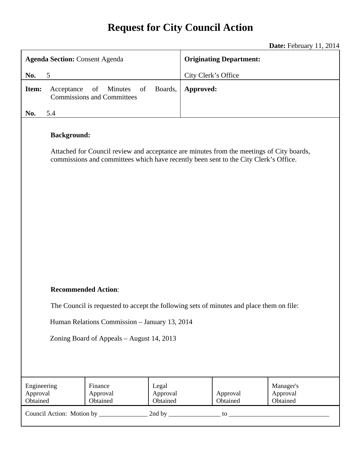# **Request for City Council Action**

**Date:** February 11, 2014

|                                               |                                                                                          |                                                                                                                                                                                  |                               |                                |                      | <b>Date:</b> 1 Colualy 11, $2017$ |  |
|-----------------------------------------------|------------------------------------------------------------------------------------------|----------------------------------------------------------------------------------------------------------------------------------------------------------------------------------|-------------------------------|--------------------------------|----------------------|-----------------------------------|--|
| <b>Agenda Section: Consent Agenda</b>         |                                                                                          |                                                                                                                                                                                  |                               | <b>Originating Department:</b> |                      |                                   |  |
| No.                                           | 5                                                                                        |                                                                                                                                                                                  | City Clerk's Office           |                                |                      |                                   |  |
| Item:                                         | Acceptance                                                                               | of<br>Minutes<br>of<br><b>Commissions and Committees</b>                                                                                                                         | Boards,                       | Approved:                      |                      |                                   |  |
| No.                                           | 5.4                                                                                      |                                                                                                                                                                                  |                               |                                |                      |                                   |  |
|                                               | <b>Background:</b>                                                                       | Attached for Council review and acceptance are minutes from the meetings of City boards,<br>commissions and committees which have recently been sent to the City Clerk's Office. |                               |                                |                      |                                   |  |
| <b>Recommended Action:</b>                    |                                                                                          |                                                                                                                                                                                  |                               |                                |                      |                                   |  |
|                                               | The Council is requested to accept the following sets of minutes and place them on file: |                                                                                                                                                                                  |                               |                                |                      |                                   |  |
| Human Relations Commission - January 13, 2014 |                                                                                          |                                                                                                                                                                                  |                               |                                |                      |                                   |  |
|                                               |                                                                                          |                                                                                                                                                                                  |                               |                                |                      |                                   |  |
| Zoning Board of Appeals - August 14, 2013     |                                                                                          |                                                                                                                                                                                  |                               |                                |                      |                                   |  |
|                                               |                                                                                          |                                                                                                                                                                                  |                               |                                |                      |                                   |  |
|                                               |                                                                                          |                                                                                                                                                                                  |                               |                                |                      |                                   |  |
| Engineering<br>Approval<br>Obtained           |                                                                                          | Finance<br>Approval<br>Obtained                                                                                                                                                  | Legal<br>Approval<br>Obtained |                                | Approval<br>Obtained | Manager's<br>Approval<br>Obtained |  |
| Council Action: Motion by _______________     |                                                                                          |                                                                                                                                                                                  |                               |                                |                      |                                   |  |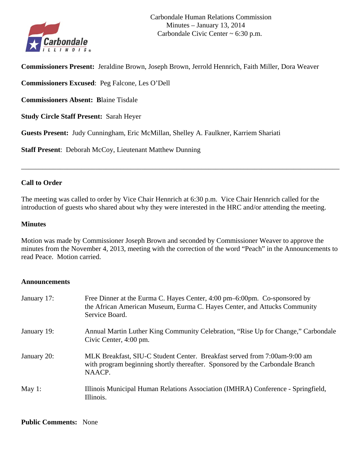

**Commissioners Present:** Jeraldine Brown, Joseph Brown, Jerrold Hennrich, Faith Miller, Dora Weaver

**Commissioners Excused**: Peg Falcone, Les O'Dell

**Commissioners Absent: B**laine Tisdale

**Study Circle Staff Present:** Sarah Heyer

**Guests Present:** Judy Cunningham, Eric McMillan, Shelley A. Faulkner, Karriem Shariati

**Staff Present**: Deborah McCoy, Lieutenant Matthew Dunning

## **Call to Order**

The meeting was called to order by Vice Chair Hennrich at 6:30 p.m. Vice Chair Hennrich called for the introduction of guests who shared about why they were interested in the HRC and/or attending the meeting.

\_\_\_\_\_\_\_\_\_\_\_\_\_\_\_\_\_\_\_\_\_\_\_\_\_\_\_\_\_\_\_\_\_\_\_\_\_\_\_\_\_\_\_\_\_\_\_\_\_\_\_\_\_\_\_\_\_\_\_\_\_\_\_\_\_\_\_\_\_\_\_\_\_\_\_\_\_\_\_\_\_\_\_\_\_\_\_\_\_\_

#### **Minutes**

Motion was made by Commissioner Joseph Brown and seconded by Commissioner Weaver to approve the minutes from the November 4, 2013, meeting with the correction of the word "Peach" in the Announcements to read Peace. Motion carried.

#### **Announcements**

| January 17: | Free Dinner at the Eurma C. Hayes Center, 4:00 pm–6:00pm. Co-sponsored by<br>the African American Museum, Eurma C. Hayes Center, and Attucks Community<br>Service Board. |
|-------------|--------------------------------------------------------------------------------------------------------------------------------------------------------------------------|
| January 19: | Annual Martin Luther King Community Celebration, "Rise Up for Change," Carbondale<br>Civic Center, 4:00 pm.                                                              |
| January 20: | MLK Breakfast, SIU-C Student Center. Breakfast served from 7:00am-9:00 am<br>with program beginning shortly thereafter. Sponsored by the Carbondale Branch<br>NAACP.     |
| May 1:      | Illinois Municipal Human Relations Association (IMHRA) Conference - Springfield,<br>Illinois.                                                                            |

#### **Public Comments:** None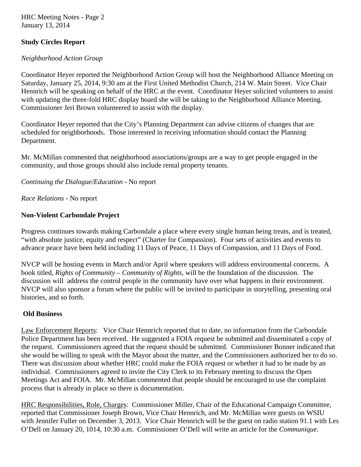HRC Meeting Notes - Page 2 January 13, 2014

# **Study Circles Report**

# *Neighborhood Action Group*

Coordinator Heyer reported the Neighborhood Action Group will host the Neighborhood Alliance Meeting on Saturday, January 25, 2014, 9:30 am at the First United Methodist Church, 214 W. Main Street. Vice Chair Hennrich will be speaking on behalf of the HRC at the event. Coordinator Heyer solicited volunteers to assist with updating the three-fold HRC display board she will be taking to the Neighborhood Alliance Meeting. Commissioner Jeri Brown volunteered to assist with the display.

Coordinator Heyer reported that the City's Planning Department can advise citizens of changes that are scheduled for neighborhoods. Those interested in receiving information should contact the Planning Department.

Mr. McMillan commented that neighborhood associations/groups are a way to get people engaged in the community, and those groups should also include rental property tenants.

*Continuing the Dialogue/Education -* No report

*Race Relations -* No report

# **Non-Violent Carbondale Project**

Progress continues towards making Carbondale a place where every single human being treats, and is treated, "with absolute justice, equity and respect" (Charter for Compassion). Four sets of activities and events to advance peace have been held including 11 Days of Peace, 11 Days of Compassion, and 11 Days of Food.

NVCP will be hosting events in March and/or April where speakers will address environmental concerns. A book titled, *Rights of Community – Community of Rights,* will be the foundation of the discussion. The discussion will address the control people in the community have over what happens in their environment. NVCP will also sponsor a forum where the public will be invited to participate in storytelling, presenting oral histories, and so forth.

# **Old Business**

Law Enforcement Reports: Vice Chair Hennrich reported that to date, no information from the Carbondale Police Department has been received. He suggested a FOIA request be submitted and disseminated a copy of the request. Commissioners agreed that the request should be submitted. Commissioner Bonner indicated that she would be willing to speak with the Mayor about the matter, and the Commissioners authorized her to do so. There was discussion about whether HRC could make the FOIA request or whether it had to be made by an individual. Commissioners agreed to invite the City Clerk to its February meeting to discuss the Open Meetings Act and FOIA. Mr. McMillan commented that people should be encouraged to use the complaint process that is already in place so there is documentation.

HRC Responsibilities, Role, Charges: Commissioner Miller, Chair of the Educational Campaign Committee, reported that Commissioner Joseph Brown, Vice Chair Hennrich, and Mr. McMillan were guests on WSIU with Jennifer Fuller on December 3, 2013. Vice Chair Hennrich will be the guest on radio station 91.1 with Les O'Dell on January 20, 1014, 10:30 a.m. Commissioner O'Dell will write an article for the *Communique*.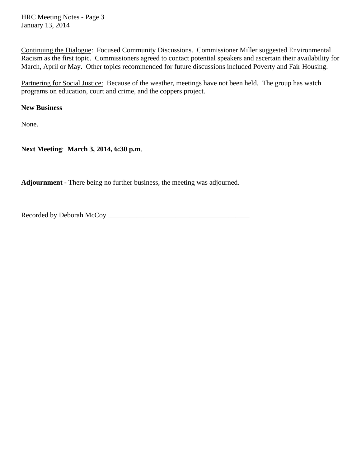HRC Meeting Notes - Page 3 January 13, 2014

Continuing the Dialogue: Focused Community Discussions. Commissioner Miller suggested Environmental Racism as the first topic. Commissioners agreed to contact potential speakers and ascertain their availability for March, April or May. Other topics recommended for future discussions included Poverty and Fair Housing.

Partnering for Social Justice: Because of the weather, meetings have not been held. The group has watch programs on education, court and crime, and the coppers project.

**New Business** 

None.

**Next Meeting**: **March 3, 2014, 6:30 p.m**.

**Adjournment -** There being no further business, the meeting was adjourned.

Recorded by Deborah McCoy \_\_\_\_\_\_\_\_\_\_\_\_\_\_\_\_\_\_\_\_\_\_\_\_\_\_\_\_\_\_\_\_\_\_\_\_\_\_\_\_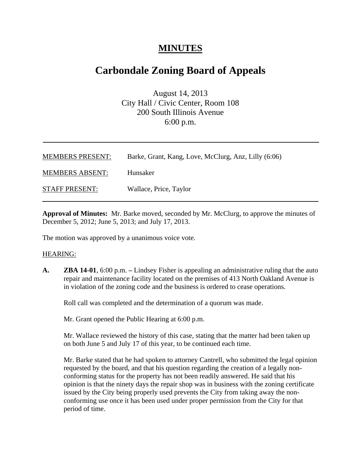# **MINUTES**

# **Carbondale Zoning Board of Appeals**

August 14, 2013 City Hall / Civic Center, Room 108 200 South Illinois Avenue 6:00 p.m.

| <b>MEMBERS PRESENT:</b> | Barke, Grant, Kang, Love, McClurg, Anz, Lilly (6:06) |
|-------------------------|------------------------------------------------------|
| <b>MEMBERS ABSENT:</b>  | Hunsaker                                             |
| <b>STAFF PRESENT:</b>   | Wallace, Price, Taylor                               |

**Approval of Minutes:** Mr. Barke moved, seconded by Mr. McClurg, to approve the minutes of December 5, 2012; June 5, 2013; and July 17, 2013.

The motion was approved by a unanimous voice vote.

#### HEARING:

**A. ZBA 14-01**, 6:00 p.m. **–** Lindsey Fisher is appealing an administrative ruling that the auto repair and maintenance facility located on the premises of 413 North Oakland Avenue is in violation of the zoning code and the business is ordered to cease operations.

Roll call was completed and the determination of a quorum was made.

Mr. Grant opened the Public Hearing at 6:00 p.m.

Mr. Wallace reviewed the history of this case, stating that the matter had been taken up on both June 5 and July 17 of this year, to be continued each time.

Mr. Barke stated that he had spoken to attorney Cantrell, who submitted the legal opinion requested by the board, and that his question regarding the creation of a legally nonconforming status for the property has not been readily answered. He said that his opinion is that the ninety days the repair shop was in business with the zoning certificate issued by the City being properly used prevents the City from taking away the nonconforming use once it has been used under proper permission from the City for that period of time.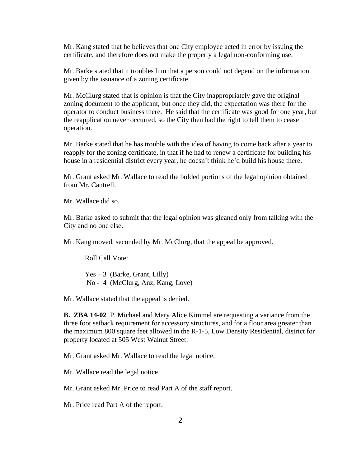Mr. Kang stated that he believes that one City employee acted in error by issuing the certificate, and therefore does not make the property a legal non-conforming use.

Mr. Barke stated that it troubles him that a person could not depend on the information given by the issuance of a zoning certificate.

Mr. McClurg stated that is opinion is that the City inappropriately gave the original zoning document to the applicant, but once they did, the expectation was there for the operator to conduct business there. He said that the certificate was good for one year, but the reapplication never occurred, so the City then had the right to tell them to cease operation.

Mr. Barke stated that he has trouble with the idea of having to come back after a year to reapply for the zoning certificate, in that if he had to renew a certificate for building his house in a residential district every year, he doesn't think he'd build his house there.

Mr. Grant asked Mr. Wallace to read the bolded portions of the legal opinion obtained from Mr. Cantrell.

Mr. Wallace did so.

Mr. Barke asked to submit that the legal opinion was gleaned only from talking with the City and no one else.

Mr. Kang moved, seconded by Mr. McClurg, that the appeal be approved.

Roll Call Vote:

 $Yes - 3$  (Barke, Grant, Lilly) No - 4 (McClurg, Anz, Kang, Love)

Mr. Wallace stated that the appeal is denied.

**B. ZBA 14-02** P. Michael and Mary Alice Kimmel are requesting a variance from the three foot setback requirement for accessory structures, and for a floor area greater than the maximum 800 square feet allowed in the R-1-5, Low Density Residential, district for property located at 505 West Walnut Street.

Mr. Grant asked Mr. Wallace to read the legal notice.

Mr. Wallace read the legal notice.

Mr. Grant asked Mr. Price to read Part A of the staff report.

Mr. Price read Part A of the report.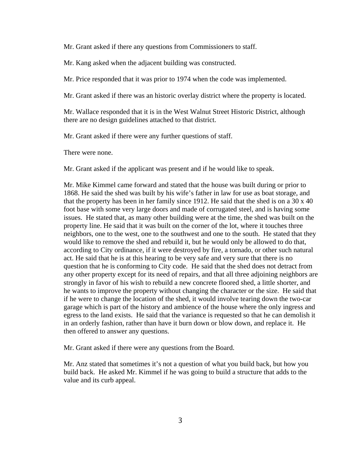Mr. Grant asked if there any questions from Commissioners to staff.

Mr. Kang asked when the adjacent building was constructed.

Mr. Price responded that it was prior to 1974 when the code was implemented.

Mr. Grant asked if there was an historic overlay district where the property is located.

Mr. Wallace responded that it is in the West Walnut Street Historic District, although there are no design guidelines attached to that district.

Mr. Grant asked if there were any further questions of staff.

There were none.

Mr. Grant asked if the applicant was present and if he would like to speak.

Mr. Mike Kimmel came forward and stated that the house was built during or prior to 1868. He said the shed was built by his wife's father in law for use as boat storage, and that the property has been in her family since 1912. He said that the shed is on a 30 x 40 foot base with some very large doors and made of corrugated steel, and is having some issues. He stated that, as many other building were at the time, the shed was built on the property line. He said that it was built on the corner of the lot, where it touches three neighbors, one to the west, one to the southwest and one to the south. He stated that they would like to remove the shed and rebuild it, but he would only be allowed to do that, according to City ordinance, if it were destroyed by fire, a tornado, or other such natural act. He said that he is at this hearing to be very safe and very sure that there is no question that he is conforming to City code. He said that the shed does not detract from any other property except for its need of repairs, and that all three adjoining neighbors are strongly in favor of his wish to rebuild a new concrete floored shed, a little shorter, and he wants to improve the property without changing the character or the size. He said that if he were to change the location of the shed, it would involve tearing down the two-car garage which is part of the history and ambience of the house where the only ingress and egress to the land exists. He said that the variance is requested so that he can demolish it in an orderly fashion, rather than have it burn down or blow down, and replace it. He then offered to answer any questions.

Mr. Grant asked if there were any questions from the Board.

Mr. Anz stated that sometimes it's not a question of what you build back, but how you build back. He asked Mr. Kimmel if he was going to build a structure that adds to the value and its curb appeal.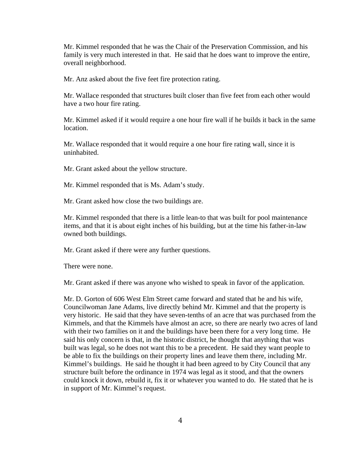Mr. Kimmel responded that he was the Chair of the Preservation Commission, and his family is very much interested in that. He said that he does want to improve the entire, overall neighborhood.

Mr. Anz asked about the five feet fire protection rating.

Mr. Wallace responded that structures built closer than five feet from each other would have a two hour fire rating.

Mr. Kimmel asked if it would require a one hour fire wall if he builds it back in the same location.

Mr. Wallace responded that it would require a one hour fire rating wall, since it is uninhabited.

Mr. Grant asked about the yellow structure.

Mr. Kimmel responded that is Ms. Adam's study.

Mr. Grant asked how close the two buildings are.

Mr. Kimmel responded that there is a little lean-to that was built for pool maintenance items, and that it is about eight inches of his building, but at the time his father-in-law owned both buildings.

Mr. Grant asked if there were any further questions.

There were none.

Mr. Grant asked if there was anyone who wished to speak in favor of the application.

Mr. D. Gorton of 606 West Elm Street came forward and stated that he and his wife, Councilwoman Jane Adams, live directly behind Mr. Kimmel and that the property is very historic. He said that they have seven-tenths of an acre that was purchased from the Kimmels, and that the Kimmels have almost an acre, so there are nearly two acres of land with their two families on it and the buildings have been there for a very long time. He said his only concern is that, in the historic district, he thought that anything that was built was legal, so he does not want this to be a precedent. He said they want people to be able to fix the buildings on their property lines and leave them there, including Mr. Kimmel's buildings. He said he thought it had been agreed to by City Council that any structure built before the ordinance in 1974 was legal as it stood, and that the owners could knock it down, rebuild it, fix it or whatever you wanted to do. He stated that he is in support of Mr. Kimmel's request.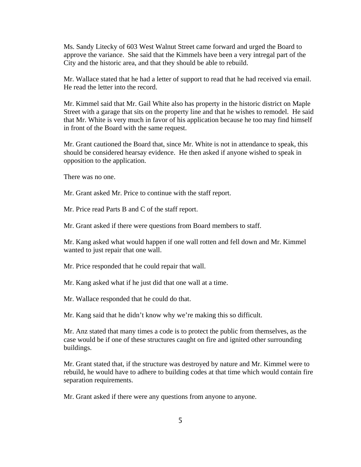Ms. Sandy Litecky of 603 West Walnut Street came forward and urged the Board to approve the variance. She said that the Kimmels have been a very intregal part of the City and the historic area, and that they should be able to rebuild.

Mr. Wallace stated that he had a letter of support to read that he had received via email. He read the letter into the record.

Mr. Kimmel said that Mr. Gail White also has property in the historic district on Maple Street with a garage that sits on the property line and that he wishes to remodel. He said that Mr. White is very much in favor of his application because he too may find himself in front of the Board with the same request.

Mr. Grant cautioned the Board that, since Mr. White is not in attendance to speak, this should be considered hearsay evidence. He then asked if anyone wished to speak in opposition to the application.

There was no one.

Mr. Grant asked Mr. Price to continue with the staff report.

Mr. Price read Parts B and C of the staff report.

Mr. Grant asked if there were questions from Board members to staff.

Mr. Kang asked what would happen if one wall rotten and fell down and Mr. Kimmel wanted to just repair that one wall.

Mr. Price responded that he could repair that wall.

Mr. Kang asked what if he just did that one wall at a time.

Mr. Wallace responded that he could do that.

Mr. Kang said that he didn't know why we're making this so difficult.

Mr. Anz stated that many times a code is to protect the public from themselves, as the case would be if one of these structures caught on fire and ignited other surrounding buildings.

Mr. Grant stated that, if the structure was destroyed by nature and Mr. Kimmel were to rebuild, he would have to adhere to building codes at that time which would contain fire separation requirements.

Mr. Grant asked if there were any questions from anyone to anyone.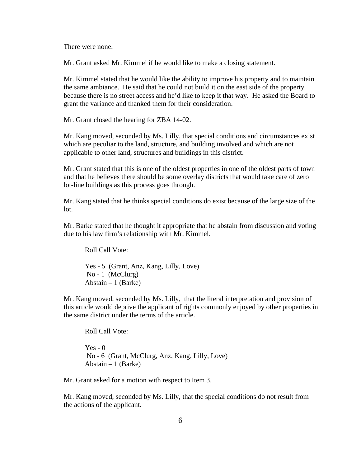There were none.

Mr. Grant asked Mr. Kimmel if he would like to make a closing statement.

Mr. Kimmel stated that he would like the ability to improve his property and to maintain the same ambiance. He said that he could not build it on the east side of the property because there is no street access and he'd like to keep it that way. He asked the Board to grant the variance and thanked them for their consideration.

Mr. Grant closed the hearing for ZBA 14-02.

Mr. Kang moved, seconded by Ms. Lilly, that special conditions and circumstances exist which are peculiar to the land, structure, and building involved and which are not applicable to other land, structures and buildings in this district.

Mr. Grant stated that this is one of the oldest properties in one of the oldest parts of town and that he believes there should be some overlay districts that would take care of zero lot-line buildings as this process goes through.

Mr. Kang stated that he thinks special conditions do exist because of the large size of the lot.

Mr. Barke stated that he thought it appropriate that he abstain from discussion and voting due to his law firm's relationship with Mr. Kimmel.

Roll Call Vote:

Yes - 5 (Grant, Anz, Kang, Lilly, Love) No - 1 (McClurg) Abstain – 1 (Barke)

Mr. Kang moved, seconded by Ms. Lilly, that the literal interpretation and provision of this article would deprive the applicant of rights commonly enjoyed by other properties in the same district under the terms of the article.

Roll Call Vote:

 $Yes - 0$  No - 6 (Grant, McClurg, Anz, Kang, Lilly, Love) Abstain  $-1$  (Barke)

Mr. Grant asked for a motion with respect to Item 3.

Mr. Kang moved, seconded by Ms. Lilly, that the special conditions do not result from the actions of the applicant.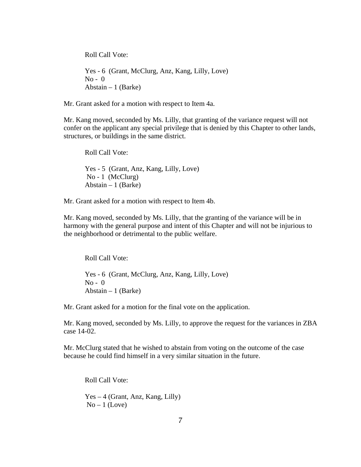Roll Call Vote:

Yes - 6 (Grant, McClurg, Anz, Kang, Lilly, Love)  $No - 0$ Abstain – 1 (Barke)

Mr. Grant asked for a motion with respect to Item 4a.

Mr. Kang moved, seconded by Ms. Lilly, that granting of the variance request will not confer on the applicant any special privilege that is denied by this Chapter to other lands, structures, or buildings in the same district.

Roll Call Vote: Yes - 5 (Grant, Anz, Kang, Lilly, Love) No - 1 (McClurg) Abstain  $-1$  (Barke)

Mr. Grant asked for a motion with respect to Item 4b.

Mr. Kang moved, seconded by Ms. Lilly, that the granting of the variance will be in harmony with the general purpose and intent of this Chapter and will not be injurious to the neighborhood or detrimental to the public welfare.

Roll Call Vote:

Yes - 6 (Grant, McClurg, Anz, Kang, Lilly, Love) No - 0 Abstain  $-1$  (Barke)

Mr. Grant asked for a motion for the final vote on the application.

Mr. Kang moved, seconded by Ms. Lilly, to approve the request for the variances in ZBA case 14-02.

Mr. McClurg stated that he wished to abstain from voting on the outcome of the case because he could find himself in a very similar situation in the future.

Roll Call Vote:

Yes – 4 (Grant, Anz, Kang, Lilly)  $No-1$  (Love)